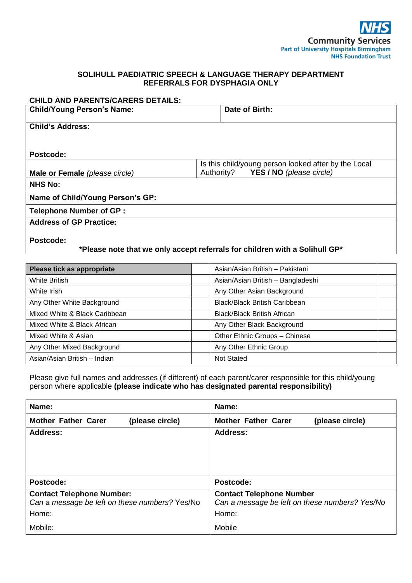

#### **SOLIHULL PAEDIATRIC SPEECH & LANGUAGE THERAPY DEPARTMENT REFERRALS FOR DYSPHAGIA ONLY**

### **CHILD AND PARENTS/CARERS DETAILS:**

| <b>Child/Young Person's Name:</b> | Date of Birth:                                                              |
|-----------------------------------|-----------------------------------------------------------------------------|
| <b>Child's Address:</b>           |                                                                             |
|                                   |                                                                             |
| Postcode:                         |                                                                             |
|                                   | Is this child/young person looked after by the Local                        |
| Male or Female (please circle)    | Authority? YES / NO (please circle)                                         |
| <b>NHS No:</b>                    |                                                                             |
| Name of Child/Young Person's GP:  |                                                                             |
| <b>Telephone Number of GP:</b>    |                                                                             |
| <b>Address of GP Practice:</b>    |                                                                             |
|                                   |                                                                             |
| Postcode:                         |                                                                             |
|                                   | *Please note that we only accept referrals for children with a Solihull GP* |

| Please tick as appropriate    | Asian/Asian British - Pakistani      |  |
|-------------------------------|--------------------------------------|--|
| White British                 | Asian/Asian British - Bangladeshi    |  |
| White Irish                   | Any Other Asian Background           |  |
| Any Other White Background    | <b>Black/Black British Caribbean</b> |  |
| Mixed White & Black Caribbean | <b>Black/Black British African</b>   |  |
| Mixed White & Black African   | Any Other Black Background           |  |
| Mixed White & Asian           | Other Ethnic Groups - Chinese        |  |
| Any Other Mixed Background    | Any Other Ethnic Group               |  |
| Asian/Asian British - Indian  | <b>Not Stated</b>                    |  |

Please give full names and addresses (if different) of each parent/carer responsible for this child/young person where applicable **(please indicate who has designated parental responsibility)**

| Name:                                                                              | Name:                                                                             |
|------------------------------------------------------------------------------------|-----------------------------------------------------------------------------------|
| <b>Mother Father Carer</b><br>(please circle)                                      | <b>Mother Father Carer</b><br>(please circle)                                     |
| <b>Address:</b>                                                                    | <b>Address:</b>                                                                   |
| Postcode:                                                                          | Postcode:                                                                         |
| <b>Contact Telephone Number:</b><br>Can a message be left on these numbers? Yes/No | <b>Contact Telephone Number</b><br>Can a message be left on these numbers? Yes/No |
| Home:                                                                              | Home:                                                                             |
| Mobile:                                                                            | Mobile                                                                            |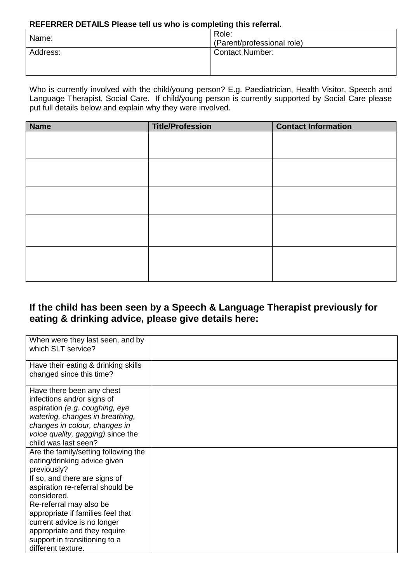#### **REFERRER DETAILS Please tell us who is completing this referral.**

|          | . .                                 |
|----------|-------------------------------------|
| Name:    | Role:<br>(Parent/professional role) |
| Address: | <b>Contact Number:</b>              |

Who is currently involved with the child/young person? E.g. Paediatrician, Health Visitor, Speech and Language Therapist, Social Care. If child/young person is currently supported by Social Care please put full details below and explain why they were involved.

| <b>Name</b> | <b>Title/Profession</b> | <b>Contact Information</b> |
|-------------|-------------------------|----------------------------|
|             |                         |                            |
|             |                         |                            |
|             |                         |                            |
|             |                         |                            |
|             |                         |                            |
|             |                         |                            |
|             |                         |                            |
|             |                         |                            |
|             |                         |                            |
|             |                         |                            |
|             |                         |                            |
|             |                         |                            |
|             |                         |                            |
|             |                         |                            |
|             |                         |                            |
|             |                         |                            |

# **If the child has been seen by a Speech & Language Therapist previously for eating & drinking advice, please give details here:**

| When were they last seen, and by<br>which SLT service?                                                                                                                                                                                                                                                 |  |
|--------------------------------------------------------------------------------------------------------------------------------------------------------------------------------------------------------------------------------------------------------------------------------------------------------|--|
| Have their eating & drinking skills<br>changed since this time?                                                                                                                                                                                                                                        |  |
| Have there been any chest<br>infections and/or signs of<br>aspiration (e.g. coughing, eye<br>watering, changes in breathing,<br>changes in colour, changes in<br>voice quality, gagging) since the<br>child was last seen?                                                                             |  |
| Are the family/setting following the<br>eating/drinking advice given<br>previously?<br>If so, and there are signs of<br>aspiration re-referral should be<br>considered.<br>Re-referral may also be<br>appropriate if families feel that<br>current advice is no longer<br>appropriate and they require |  |
| support in transitioning to a<br>different texture.                                                                                                                                                                                                                                                    |  |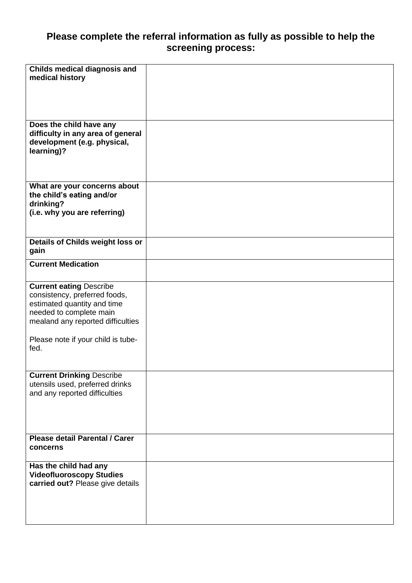# **Please complete the referral information as fully as possible to help the screening process:**

| Childs medical diagnosis and<br>medical history                                                                                                                |  |
|----------------------------------------------------------------------------------------------------------------------------------------------------------------|--|
| Does the child have any<br>difficulty in any area of general<br>development (e.g. physical,<br>learning)?                                                      |  |
| What are your concerns about<br>the child's eating and/or<br>drinking?<br>(i.e. why you are referring)                                                         |  |
| Details of Childs weight loss or<br>gain                                                                                                                       |  |
| <b>Current Medication</b>                                                                                                                                      |  |
| <b>Current eating Describe</b><br>consistency, preferred foods,<br>estimated quantity and time<br>needed to complete main<br>mealand any reported difficulties |  |
| Please note if your child is tube-<br>fed.                                                                                                                     |  |
| <b>Current Drinking Describe</b><br>utensils used, preferred drinks<br>and any reported difficulties                                                           |  |
| Please detail Parental / Carer<br>concerns                                                                                                                     |  |
| Has the child had any<br><b>Videofluoroscopy Studies</b><br>carried out? Please give details                                                                   |  |